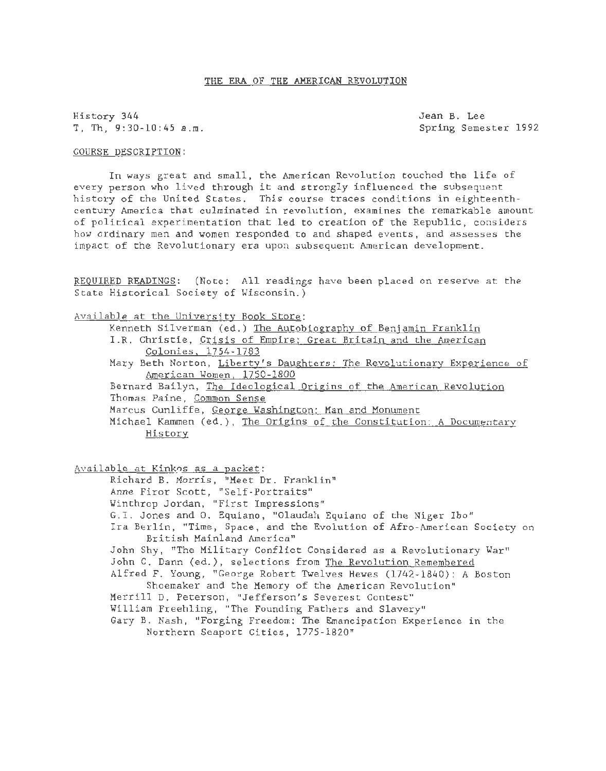### THE ERA OF THE AMERICAN REVOLUTION

History 344 Jean B. Lee  $T.$  Th,  $9:30-10:45$  a.m.

### COURSE DESCRIPTION:

In ways great and small, the American Revolution touched the life of every person who lived through it and strongly influenced the subsequent history of the United States. This course traces conditions in eighteenthcentury America that culminated in revolution, examines the remarkable amount of political experimentation that led to creation of the Republic, considers how ordinary men and women responded to and shaped events, and assesses the impact of the Revolutionary era upon subsequent American development.

REQUIRED READINGS: (Note: All readings have been placed on reserve at the State Historical Society of Wisconsin.)

## Available at the University Book Store:

Kenneth Silverman (ed.) The Autobiography of Benjamin Franklin

- I.R. Christie, Crisis of Empire: Great Britain and the American Colonies. 1754-1783
- Mary Beth Norton, Liberty's Daughters: The Revolutionary Experience of American Women. 1750-1800
- Bernard Bailyn, The Ideological Origins of the American Revolution Thomas Paine, Common Sense
- Marcus Cunliffe, George Washington: Man and Monument
- Michael Kammen (ed.), The Origins of the Constitution: A Documentary History

Available at Kinkos as a packet:

Richard B. Morris, "Meet Dr. Franklin" Anne Firor Scott, "Self-Portraits"

- Winthrop Jordan, "First Impressions"
- 

G.I. Jones and 0. Equiano, "Olaudah Equiano of the Niger Ibo"

Ira Berlin, "Time, Space, and the Evolution of Afro-American Society on British Mainland America"

John Shy, "The Military Conflict Considered as a Revolutionary War" John C. Dann (ed.), selections from The Revolution Remembered

Alfred F. Young, "George Robert Twelves Hewes (1742-1840): A Boston Shoemaker and the Memory of the American Revolution"

- Merrill D. Peterson, "Jefferson's Severest Contest"
- William Freehling, "The Founding Fathers and Slavery"
- Gary B. Nash, "Forging Freedom: The Emancipation Experience in the Northern Seaport Cities, 1775-1820"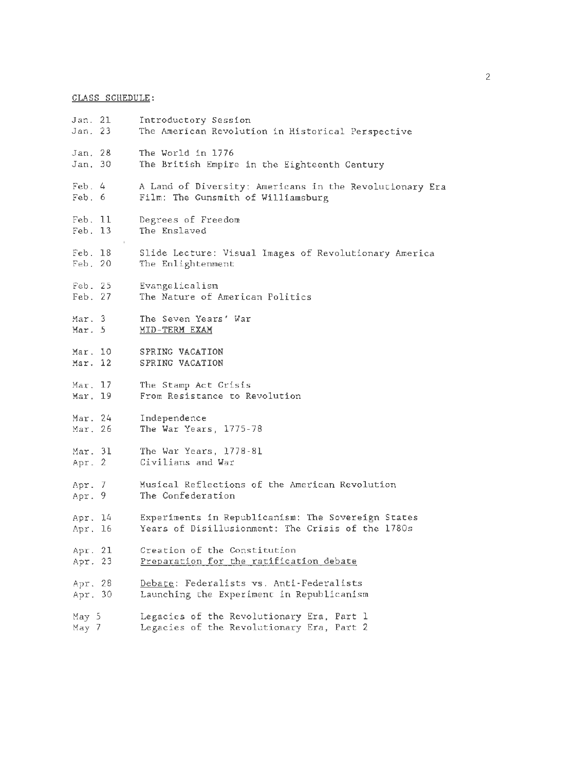# CLASS SCHEDULE:

| Jan. 21<br>Jan. 23         | Introductory Session<br>The American Revolution in Historical Perspective                               |
|----------------------------|---------------------------------------------------------------------------------------------------------|
| Jan. 28<br>Jan. 30         | The World in 1776<br>The British Empire in the Eighteenth Century                                       |
| $\text{Feb. } 4$<br>Feb. 6 | A Land of Diversity: Americans in the Revolutionary Era<br>Film: The Gunsmith of Williamsburg           |
| Feb. 11<br>Feb. 13         | Degrees of Freedom<br>The Enslaved                                                                      |
| Feb. 18<br>Feb. 20         | Slide Lecture: Visual Images of Revolutionary America<br>The Enlightenment                              |
| Feb. 25<br>Feb. 27         | Evangelicalism<br>The Nature of American Politics                                                       |
| Mar. 3<br>Mar. 5           | The Seven Years' War<br>MID-TERM EXAM                                                                   |
| Mar. 10<br>Mar. 12         | SPRING VACATION<br>SPRING VACATION                                                                      |
| Mar. 17<br>Mar. 19         | The Stamp Act Crisis<br>From Resistance to Revolution                                                   |
| Mar. 24<br>Mar. 26         | Independence<br>The War Years, 1775-78                                                                  |
| Mar. 31<br>Apr. 2          | The War Years, 1778-81<br>Civilians and War                                                             |
| Apr. 7<br>Apr. 9           | Musical Reflections of the American Revolution<br>The Confederation                                     |
| Apr. 14<br>Apr. 16         | Experiments in Republicanism: The Sovereign States<br>Years of Disillusionment: The Crisis of the 1780s |
| Apr. 21<br>Apr. 23         | Creation of the Constitution<br>Preparation for the ratification debate                                 |
| Apr. 28<br>Apr. 30         | Debate: Federalists vs. Anti-Federalists<br>Launching the Experiment in Republicanism                   |
| May 5<br>May 7             | Legacies of the Revolutionary Era, Part 1<br>Legacies of the Revolutionary Era, Part 2                  |